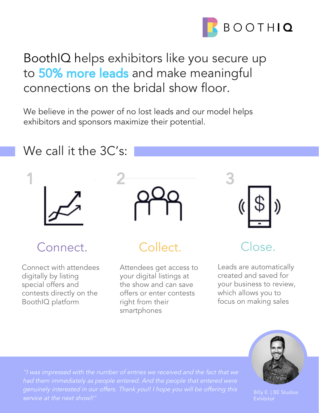

# BoothIQ helps exhibitors like you secure up to 50% more leads and make meaningful connections on the bridal show floor.

We believe in the power of no lost leads and our model helps exhibitors and sponsors maximize their potential.

#### We call it the 3C's:



1

## Connect.

Connect with attendees digitally by listing special offers and contests directly on the BoothIQ platform



## Collect.

Attendees get access to your digital listings at the show and can save offers or enter contests right from their smartphones



#### Close.

Leads are automatically created and saved for your business to review, which allows you to focus on making sales



"I was impressed with the number of entries we received and the fact that we had them immediately as people entered. And the people that entered were genuinely interested in our offers. Thank you!! I hope you will be offering this service at the next show!!"

Billy E. | BE Studios Exhibitor